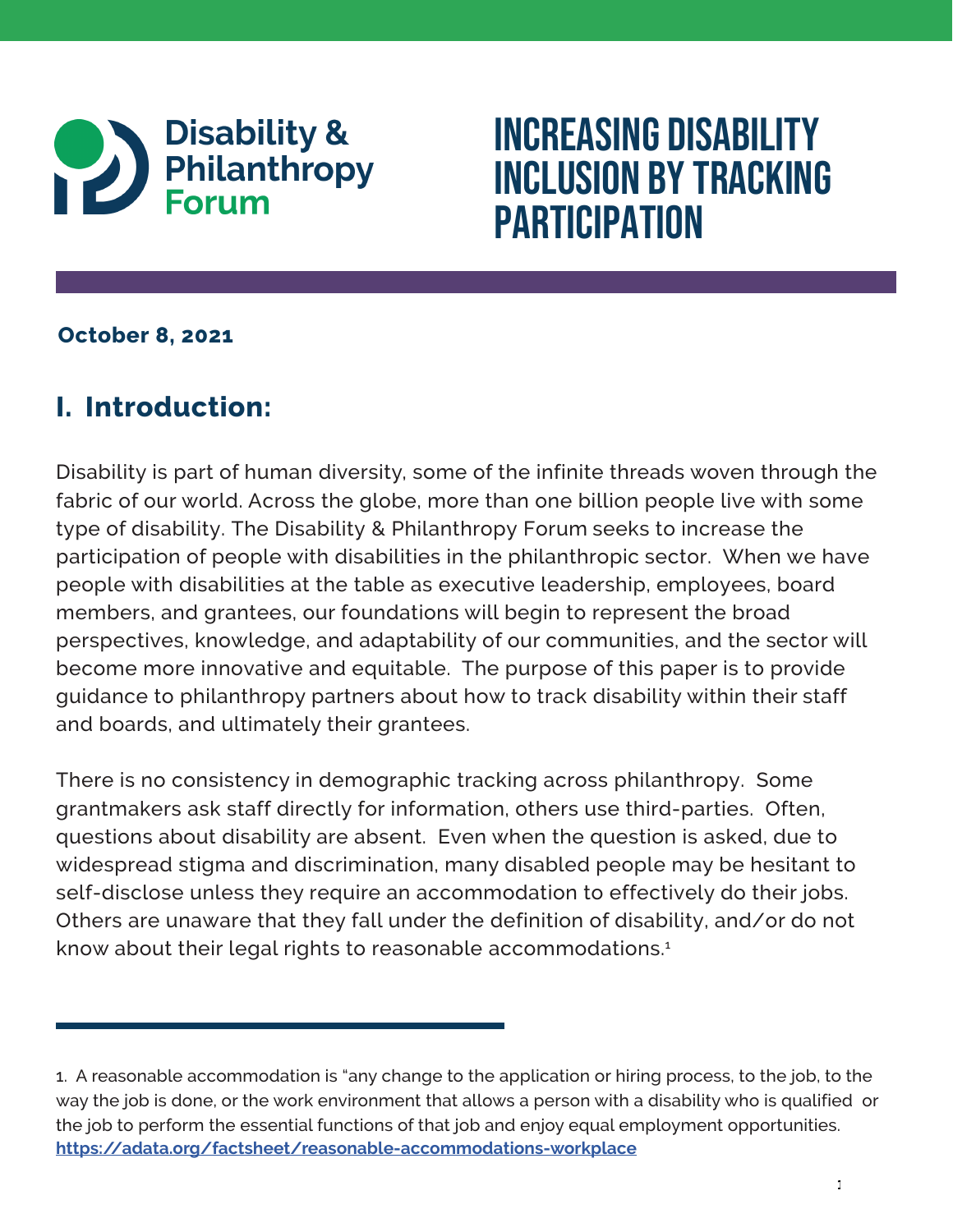

# Increasing Disability Inclusion by Tracking **PARTICIPATION**

# **October 8, 2021**

# **I. Introduction:**

 Disability is part of human diversity, some of the infinite threads woven through the and boards, and ultimately their grantees. fabric of our world. Across the globe, more than one billion people live with some type of disability. The Disability & Philanthropy Forum seeks to increase the participation of people with disabilities in the philanthropic sector. When we have people with disabilities at the table as executive leadership, employees, board members, and grantees, our foundations will begin to represent the broad perspectives, knowledge, and adaptability of our communities, and the sector will become more innovative and equitable. The purpose of this paper is to provide guidance to philanthropy partners about how to track disability within their staff

There is no consistency in demographic tracking across philanthropy. Some grantmakers ask staff directly for information, others use third-parties. Often, questions about disability are absent. Even when the question is asked, due to widespread stigma and discrimination, many disabled people may be hesitant to self-disclose unless they require an accommodation to effectively do their jobs. Others are unaware that they fall under the definition of disability, and/or do not know about their legal rights to reasonable accommodations.<sup>1</sup>

<sup>1.</sup> A reasonable accommodation is "any change to the application or hiring process, to the job, to the way the job is done, or the work environment that allows a person with a disability who is qualified or the job to perform the essential functions of that job and enjoy equal employment opportunities. **<https://adata.org/factsheet/reasonable-accommodations-workplace>**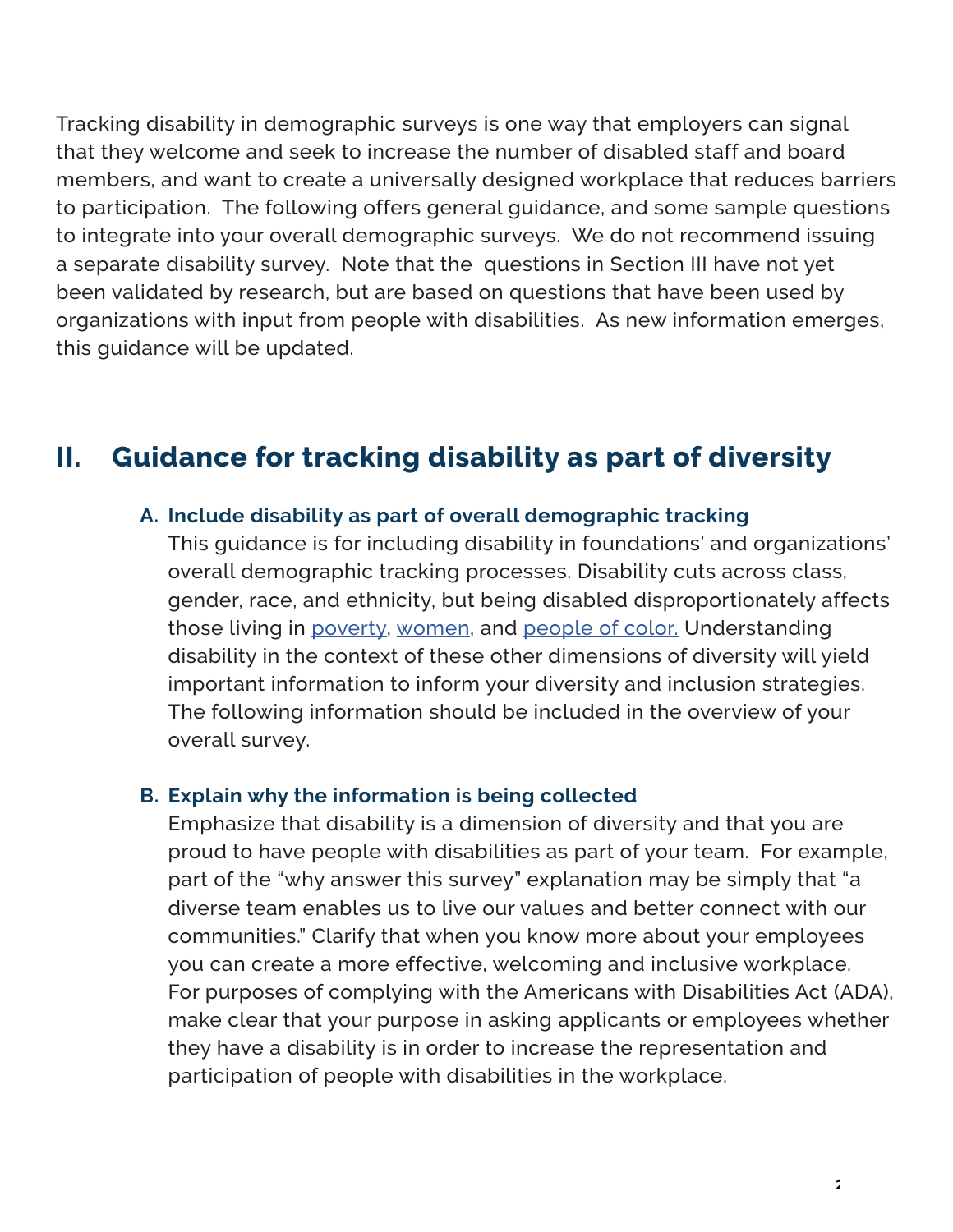Tracking disability in demographic surveys is one way that employers can signal that they welcome and seek to increase the number of disabled staff and board members, and want to create a universally designed workplace that reduces barriers to participation. The following offers general guidance, and some sample questions to integrate into your overall demographic surveys. We do not recommend issuing a separate disability survey. Note that the questions in Section III have not yet been validated by research, but are based on questions that have been used by organizations with input from people with disabilities. As new information emerges, this guidance will be updated.

# **II. Guidance for tracking disability as part of diversity**

#### **A. Include disability as part of overall demographic tracking**

 disability in the context of these other dimensions of diversity will yield The following information should be included in the overview of your This guidance is for including disability in foundations' and organizations' overall demographic tracking processes. Disability cuts across class, gender, race, and ethnicity, but being disabled disproportionately affects those living in [poverty,](https://ncd.gov/newsroom/2017/disability-poverty-connection-2017-progress-report-release) [women](https://www.cdc.gov/ncbddd/disabilityandhealth/women.html), and [people of color.](https://www.nationaldisabilityinstitute.org/wp-content/uploads/2019/02/disability-race-poverty-in-america.pdf) Understanding important information to inform your diversity and inclusion strategies. overall survey.

#### **B. Explain why the information is being collected**

Emphasize that disability is a dimension of diversity and that you are proud to have people with disabilities as part of your team. For example, part of the "why answer this survey" explanation may be simply that "a diverse team enables us to live our values and better connect with our communities." Clarify that when you know more about your employees you can create a more effective, welcoming and inclusive workplace. For purposes of complying with the Americans with Disabilities Act (ADA), make clear that your purpose in asking applicants or employees whether they have a disability is in order to increase the representation and participation of people with disabilities in the workplace.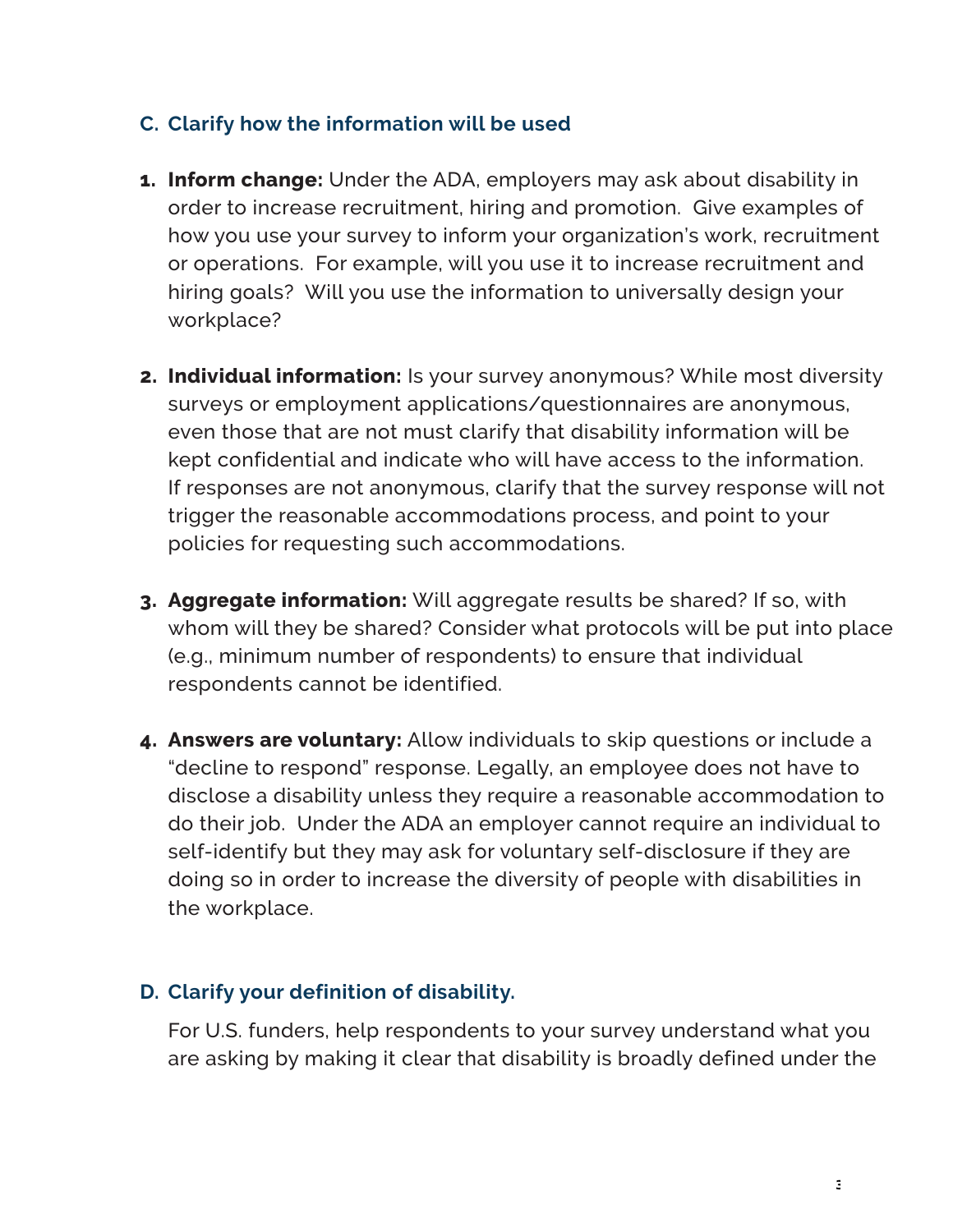#### **C. Clarify how the information will be used**

- **1. Inform change:** Under the ADA, employers may ask about disability in order to increase recruitment, hiring and promotion. Give examples of how you use your survey to inform your organization's work, recruitment or operations. For example, will you use it to increase recruitment and hiring goals? Will you use the information to universally design your workplace?
- **2. Individual information:** Is your survey anonymous? While most diversity surveys or employment applications/questionnaires are anonymous, even those that are not must clarify that disability information will be kept confidential and indicate who will have access to the information. If responses are not anonymous, clarify that the survey response will not trigger the reasonable accommodations process, and point to your policies for requesting such accommodations.
- **3. Aggregate information:** Will aggregate results be shared? If so, with whom will they be shared? Consider what protocols will be put into place (e.g., minimum number of respondents) to ensure that individual respondents cannot be identified.
- **4. Answers are voluntary:** Allow individuals to skip questions or include a "decline to respond" response. Legally, an employee does not have to disclose a disability unless they require a reasonable accommodation to do their job. Under the ADA an employer cannot require an individual to self-identify but they may ask for voluntary self-disclosure if they are doing so in order to increase the diversity of people with disabilities in the workplace.

#### **D. Clarify your definition of disability.**

For U.S. funders, help respondents to your survey understand what you are asking by making it clear that disability is broadly defined under the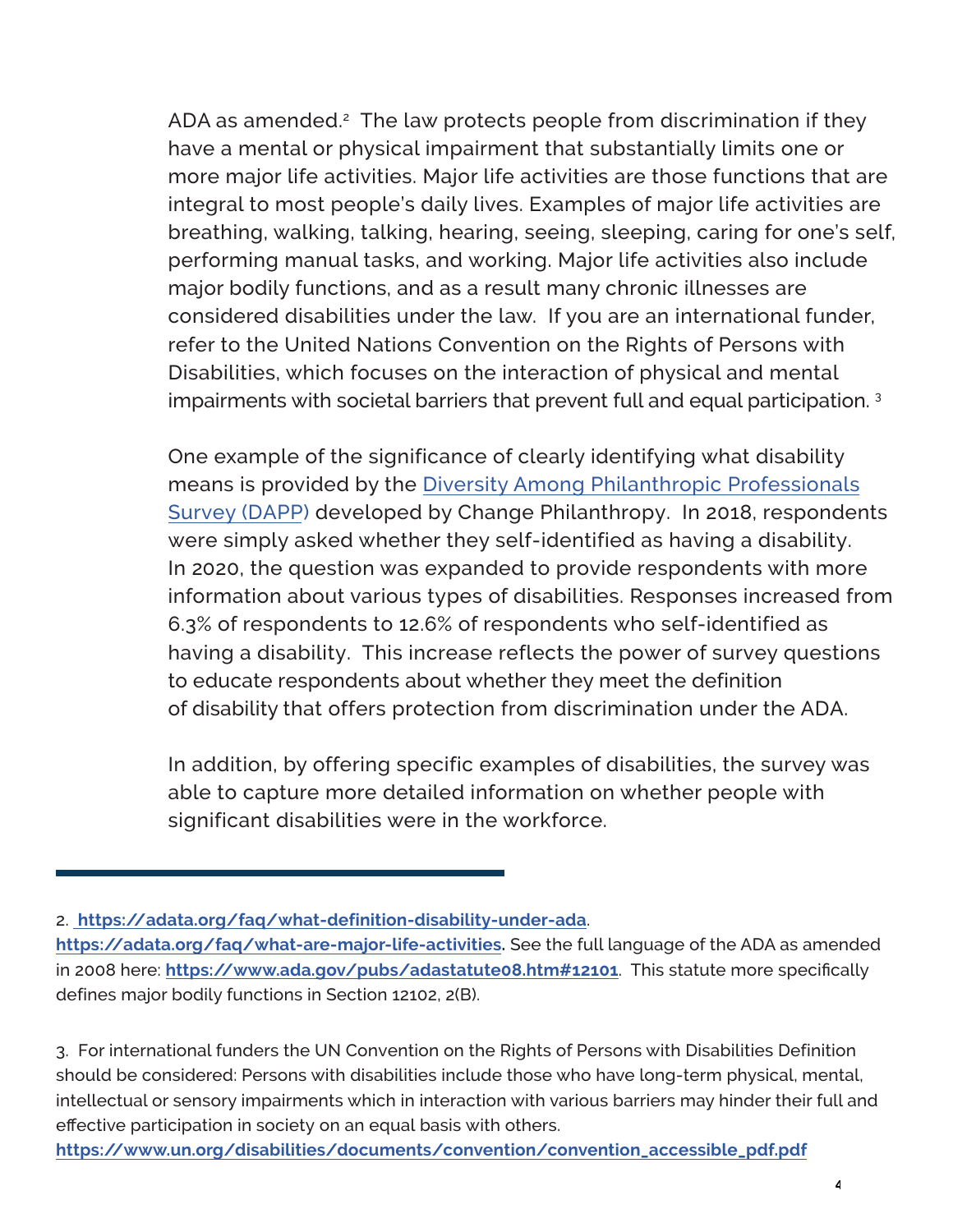ADA as amended. $2$  The law protects people from discrimination if they have a mental or physical impairment that substantially limits one or integral to most people's daily lives. Examples of major life activities are breathing, walking, talking, hearing, seeing, sleeping, caring for one's self, performing manual tasks, and working. Major life activities also include major bodily functions, and as a result many chronic illnesses are considered disabilities under the law. If you are an international funder, Disabilities, which focuses on the interaction of physical and mental more major life activities. Major life activities are those functions that are refer to the United Nations Convention on the Rights of Persons with impairments with societal barriers that prevent full and equal participation. 3

 One example of the significance of clearly identifying what disability were simply asked whether they self-identified as having a disability. having a disability. This increase reflects the power of survey questions to educate respondents about whether they meet the definition have a mental or physical impairment that substantially limits one<br>more major life activities. Major life activities are those functions the<br>integral to most people's daily lives. Examples of major life activitie<br>breakhing means is provided by the Diversity Among Philanthropic Professionals Survey (DAPP) developed by Change Philanthropy. In 2018, respondents In 2020, the question was expanded to provide respondents with more information about various types of disabilities. Responses increased from 6.3% of respondents to 12.6% of respondents who self-identified as of disability that offers protection from discrimination under the ADA.

 In addition, by offering specific examples of disabilities, the survey was able to capture more detailed information on whether people with significant disabilities were in the workforce.

2. **https://adata.org/faq/what-definition-disability-under-ada**.

**[https://www.un.org/disabilities/documents/convention/convention\\_accessible\\_pdf.pdf](https://www.un.org/disabilities/documents/convention/convention_accessible_pdf.pdf)** 

 **https://adata.org/faq/what-are-major-life-activities.** See the full language of the ADA as amended defines major bodily functions in Section 12102, 2(B). in 2008 here: **https://www.ada.gov/pubs/adastatute08.htm#12101**. This statute more specifically

 intellectual or sensory impairments which in interaction with various barriers may hinder their full and 3. For international funders the UN Convention on the Rights of Persons with Disabilities Definition should be considered: Persons with disabilities include those who have long-term physical, mental, effective participation in society on an equal basis with others.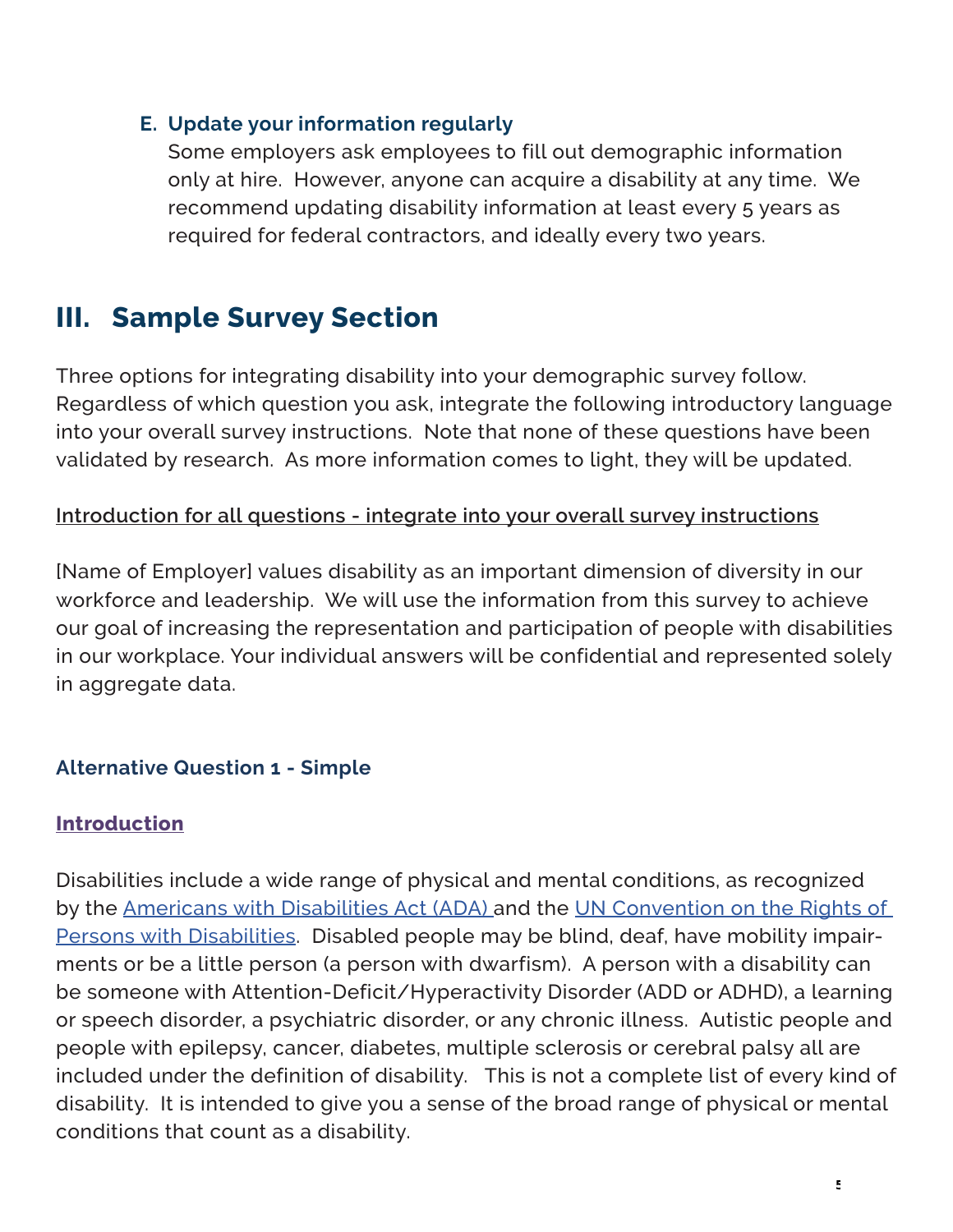#### **E. Update your information regularly**

Some employers ask employees to fill out demographic information only at hire. However, anyone can acquire a disability at any time. We recommend updating disability information at least every 5 years as required for federal contractors, and ideally every two years.

# **III. Sample Survey Section**

 Three options for integrating disability into your demographic survey follow. Regardless of which question you ask, integrate the following introductory language into your overall survey instructions. Note that none of these questions have been validated by research. As more information comes to light, they will be updated.

### **Introduction for all questions - integrate into your overall survey instructions**

[Name of Employer] values disability as an important dimension of diversity in our workforce and leadership. We will use the information from this survey to achieve our goal of increasing the representation and participation of people with disabilities in our workplace. Your individual answers will be confidential and represented solely in aggregate data.

## **Alternative Question 1 - Simple**

#### **Introduction**

Disabilities include a wide range of physical and mental conditions, as recognized by the [Americans with Disabilities Act \(ADA\)](https://beta.ada.gov/topics/intro-to-ada/) and the [UN Convention on the Rights of](https://www.un.org/disabilities/documents/convention/convention_accessible_pdf.pdf) [Persons with Disabilities](https://www.un.org/disabilities/documents/convention/convention_accessible_pdf.pdf). Disabled people may be blind, deaf, have mobility impairments or be a little person (a person with dwarfism). A person with a disability can be someone with Attention-Deficit/Hyperactivity Disorder (ADD or ADHD), a learning or speech disorder, a psychiatric disorder, or any chronic illness. Autistic people and people with epilepsy, cancer, diabetes, multiple sclerosis or cerebral palsy all are included under the definition of disability. This is not a complete list of every kind of disability. It is intended to give you a sense of the broad range of physical or mental conditions that count as a disability.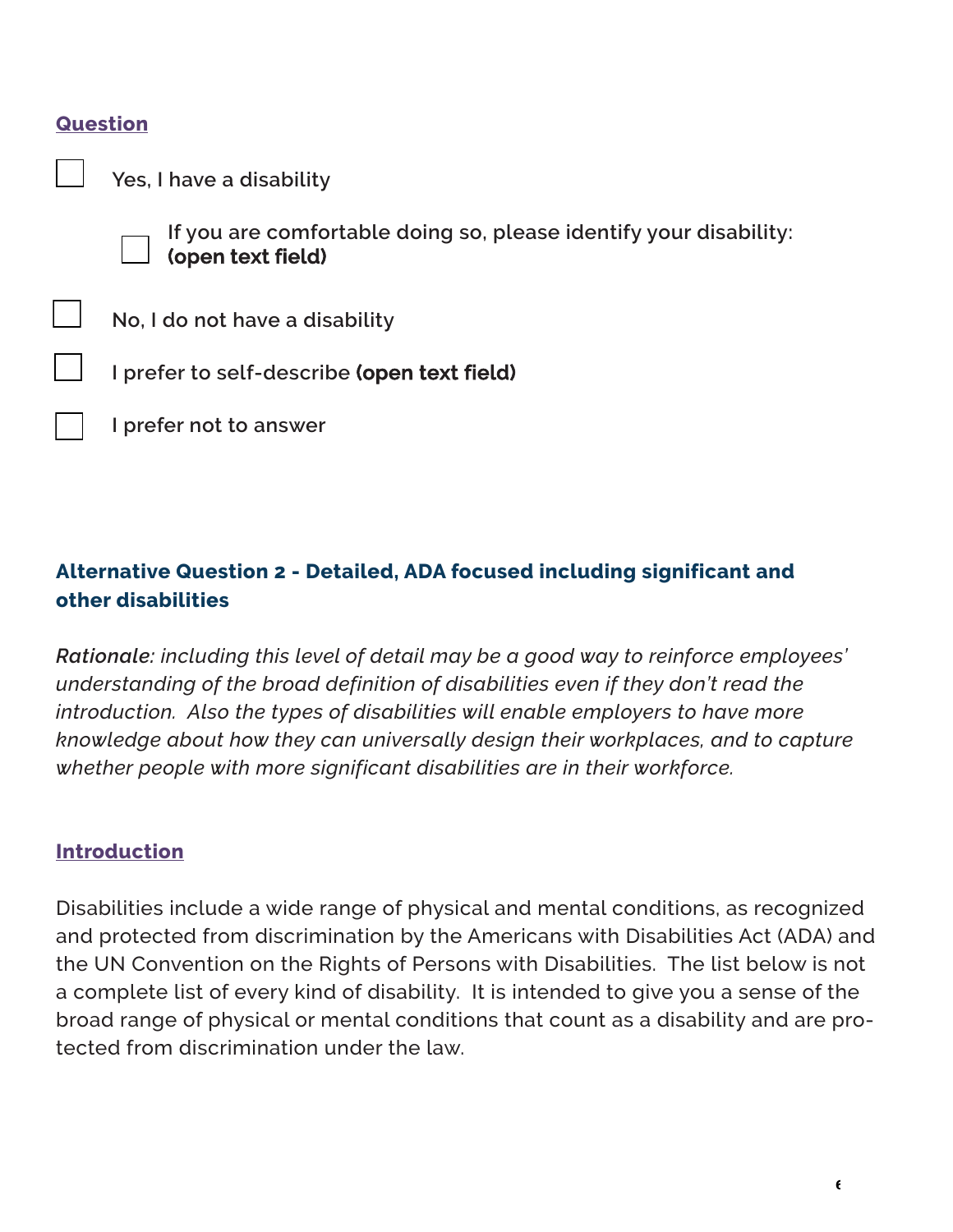#### **Question**

**Yes, I have a disability**



 **If you are comfortable doing so, please identify your disability: (open text field)** 

**No, I do not have a disability**

**I prefer to self-describe (open text field)**

**I prefer not to answer**

## **Alternative Question 2 - Detailed, ADA focused including significant and other disabilities**

 *whether people with more significant disabilities are in their workforce. Rationale: including this level of detail may be a good way to reinforce employees' understanding of the broad definition of disabilities even if they don't read the introduction. Also the types of disabilities will enable employers to have more knowledge about how they can universally design their workplaces, and to capture*

#### **Introduction**

Disabilities include a wide range of physical and mental conditions, as recognized and protected from discrimination by the Americans with Disabilities Act (ADA) and the UN Convention on the Rights of Persons with Disabilities. The list below is not a complete list of every kind of disability. It is intended to give you a sense of the broad range of physical or mental conditions that count as a disability and are protected from discrimination under the law.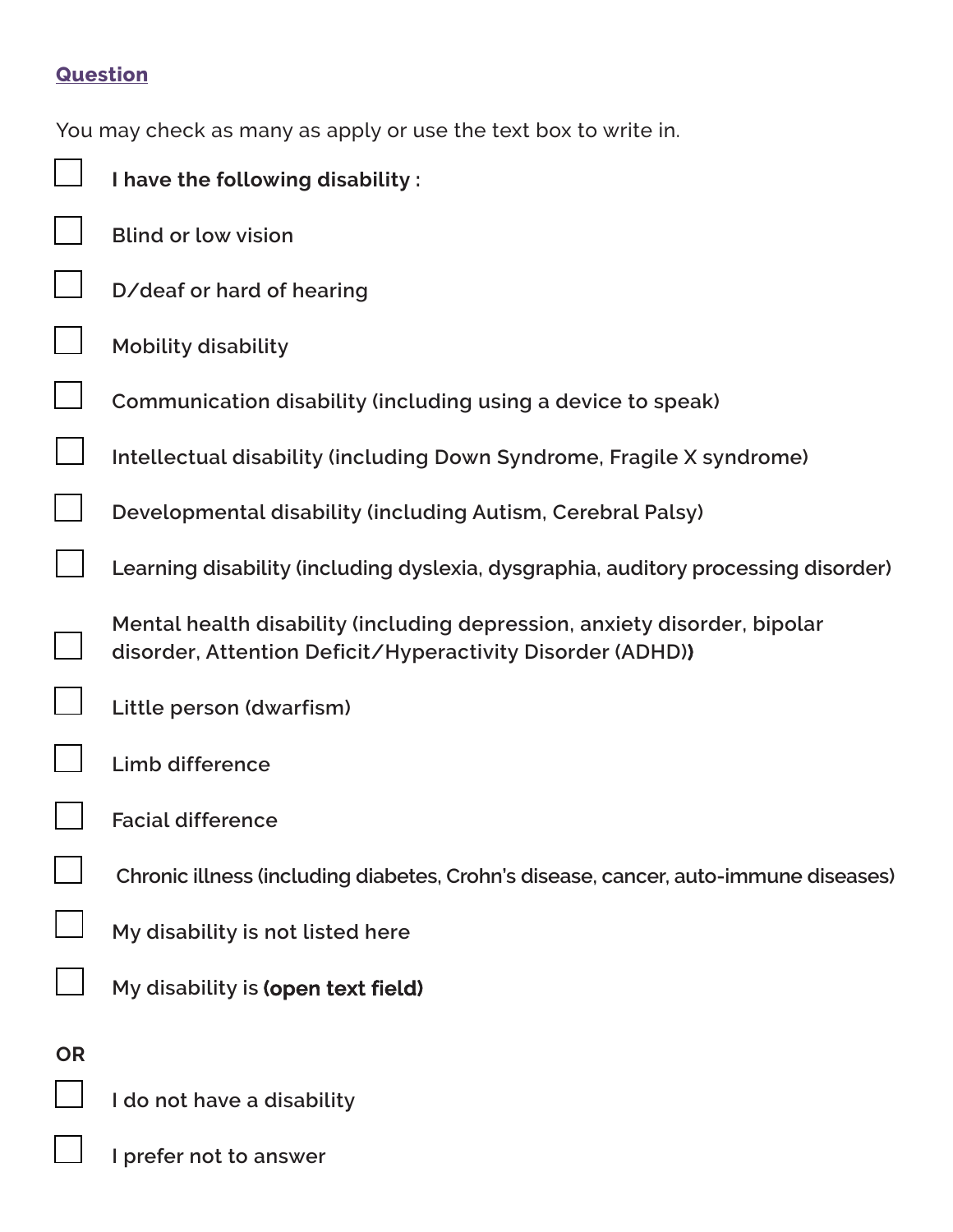# **Question**

|           | You may check as many as apply or use the text box to write in.                                                                         |
|-----------|-----------------------------------------------------------------------------------------------------------------------------------------|
|           | I have the following disability:                                                                                                        |
|           | <b>Blind or low vision</b>                                                                                                              |
|           | D/deaf or hard of hearing                                                                                                               |
|           | <b>Mobility disability</b>                                                                                                              |
|           | Communication disability (including using a device to speak)                                                                            |
|           | Intellectual disability (including Down Syndrome, Fragile X syndrome)                                                                   |
|           | Developmental disability (including Autism, Cerebral Palsy)                                                                             |
|           | Learning disability (including dyslexia, dysgraphia, auditory processing disorder)                                                      |
|           | Mental health disability (including depression, anxiety disorder, bipolar<br>disorder, Attention Deficit/Hyperactivity Disorder (ADHD)) |
|           | Little person (dwarfism)                                                                                                                |
|           | Limb difference                                                                                                                         |
|           | <b>Facial difference</b>                                                                                                                |
|           | Chronic illness (including diabetes, Crohn's disease, cancer, auto-immune diseases)                                                     |
|           | My disability is not listed here                                                                                                        |
|           | My disability is (open text field)                                                                                                      |
| <b>OR</b> |                                                                                                                                         |
|           | I do not have a disability                                                                                                              |
|           | I prefer not to answer                                                                                                                  |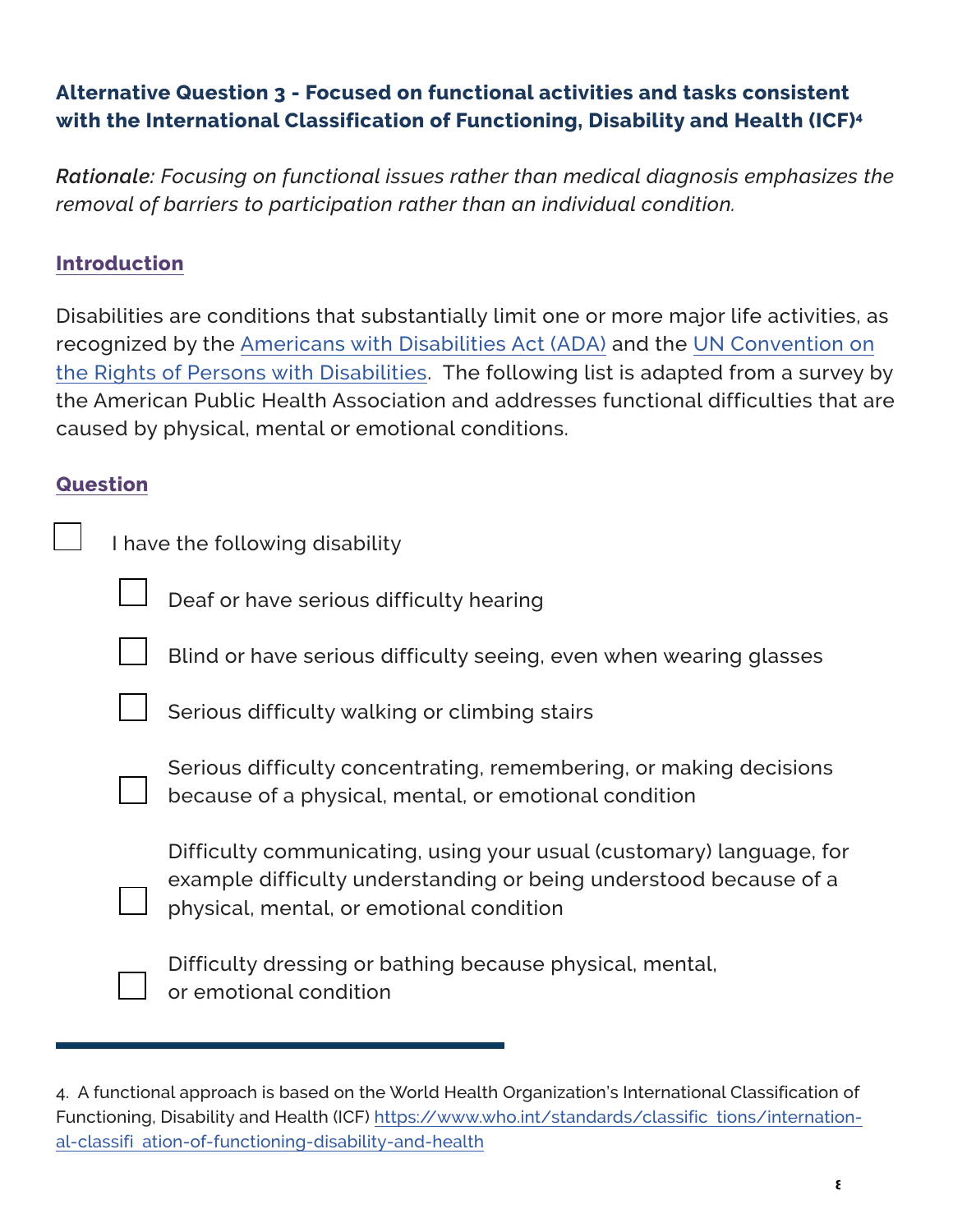# **Alternative Question 3 - Focused on functional activities and tasks consistent with the International Classification of Functioning, Disability and Health (ICF)4**

 *removal of barriers to participation rather than an individual condition. Rationale: Focusing on functional issues rather than medical diagnosis emphasizes the*

### **Introduction**

#### **Question**

| emoval of barriers to participation rather than an individual condition.                                                                                                                                                                                                                                                                                                                                                                     |  |  |  |
|----------------------------------------------------------------------------------------------------------------------------------------------------------------------------------------------------------------------------------------------------------------------------------------------------------------------------------------------------------------------------------------------------------------------------------------------|--|--|--|
| <b>Introduction</b>                                                                                                                                                                                                                                                                                                                                                                                                                          |  |  |  |
| Disabilities are conditions that substantially limit one or more major life activities, a<br>recognized by the <u>Americans with Disabilities Act (ADA)</u> and the <u>UN Convention or</u><br>he Rights of Persons with Disabilities. The following list is adapted from a survey<br>the American Public Health Association and addresses functional difficulties that $\varepsilon$<br>caused by physical, mental or emotional conditions. |  |  |  |
| Question                                                                                                                                                                                                                                                                                                                                                                                                                                     |  |  |  |
| I have the following disability                                                                                                                                                                                                                                                                                                                                                                                                              |  |  |  |
| Deaf or have serious difficulty hearing                                                                                                                                                                                                                                                                                                                                                                                                      |  |  |  |
| Blind or have serious difficulty seeing, even when wearing glasses                                                                                                                                                                                                                                                                                                                                                                           |  |  |  |
| Serious difficulty walking or climbing stairs                                                                                                                                                                                                                                                                                                                                                                                                |  |  |  |
| Serious difficulty concentrating, remembering, or making decisions<br>because of a physical, mental, or emotional condition                                                                                                                                                                                                                                                                                                                  |  |  |  |
| Difficulty communicating, using your usual (customary) language, for<br>example difficulty understanding or being understood because of a<br>physical, mental, or emotional condition                                                                                                                                                                                                                                                        |  |  |  |
| Difficulty dressing or bathing because physical, mental,<br>or emotional condition                                                                                                                                                                                                                                                                                                                                                           |  |  |  |
| 4. A functional approach is based on the World Health Organization's International Classification of                                                                                                                                                                                                                                                                                                                                         |  |  |  |

 4. A functional approach is based on the World Health Organization's International Classification of Functioning, Disability and Health (ICF) [https://www.who.int/standards/classific](https://www.who.int/standards/classifications/international-classification-of-functioning-disability-and-health) tions/international-classifi [ation-of-functioning-disability-and-health](https://www.who.int/standards/classifications/international-classification-of-functioning-disability-and-health)